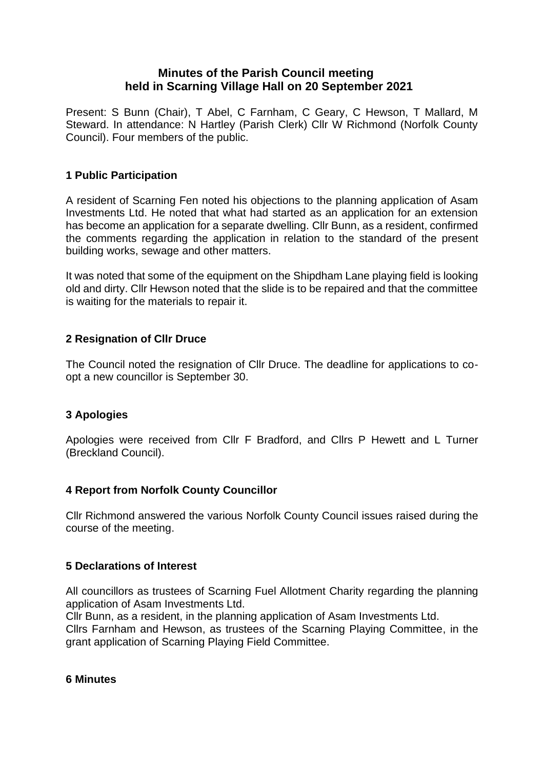# **Minutes of the Parish Council meeting held in Scarning Village Hall on 20 September 2021**

Present: S Bunn (Chair), T Abel, C Farnham, C Geary, C Hewson, T Mallard, M Steward. In attendance: N Hartley (Parish Clerk) Cllr W Richmond (Norfolk County Council). Four members of the public.

# **1 Public Participation**

A resident of Scarning Fen noted his objections to the planning application of Asam Investments Ltd. He noted that what had started as an application for an extension has become an application for a separate dwelling. Cllr Bunn, as a resident, confirmed the comments regarding the application in relation to the standard of the present building works, sewage and other matters.

It was noted that some of the equipment on the Shipdham Lane playing field is looking old and dirty. Cllr Hewson noted that the slide is to be repaired and that the committee is waiting for the materials to repair it.

# **2 Resignation of Cllr Druce**

The Council noted the resignation of Cllr Druce. The deadline for applications to coopt a new councillor is September 30.

# **3 Apologies**

Apologies were received from Cllr F Bradford, and Cllrs P Hewett and L Turner (Breckland Council).

### **4 Report from Norfolk County Councillor**

Cllr Richmond answered the various Norfolk County Council issues raised during the course of the meeting.

### **5 Declarations of Interest**

All councillors as trustees of Scarning Fuel Allotment Charity regarding the planning application of Asam Investments Ltd.

Cllr Bunn, as a resident, in the planning application of Asam Investments Ltd. Cllrs Farnham and Hewson, as trustees of the Scarning Playing Committee, in the grant application of Scarning Playing Field Committee.

#### **6 Minutes**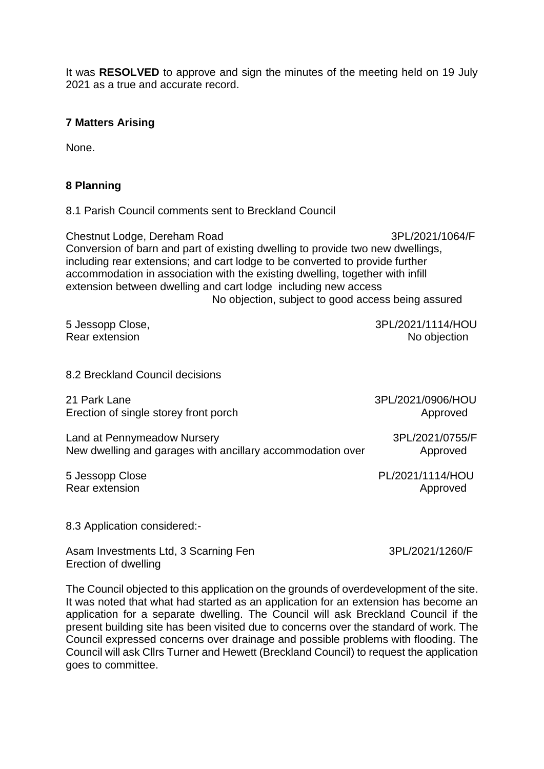It was **RESOLVED** to approve and sign the minutes of the meeting held on 19 July 2021 as a true and accurate record.

#### **7 Matters Arising**

None.

### **8 Planning**

8.1 Parish Council comments sent to Breckland Council

Chestnut Lodge, Dereham Road 3PL/2021/1064/F Conversion of barn and part of existing dwelling to provide two new dwellings, including rear extensions; and cart lodge to be converted to provide further accommodation in association with the existing dwelling, together with infill extension between dwelling and cart lodge including new access No objection, subject to good access being assured

5 Jessopp Close, 3PL/2021/1114/HOU Rear extension No objection

8.2 Breckland Council decisions

21 Park Lane 3PL/2021/0906/HOU Erection of single storey front porch Approved Approved

Land at Pennymeadow Nursery 3PL/2021/0755/F New dwelling and garages with ancillary accommodation over **Approved** 

5 Jessopp Close **PL/2021/1114/HOU** Rear extension and a set of the set of the set of the set of the Approved

8.3 Application considered:-

Asam Investments Ltd, 3 Scarning Fen 3PL/2021/1260/F Erection of dwelling

The Council objected to this application on the grounds of overdevelopment of the site. It was noted that what had started as an application for an extension has become an application for a separate dwelling. The Council will ask Breckland Council if the present building site has been visited due to concerns over the standard of work. The Council expressed concerns over drainage and possible problems with flooding. The Council will ask Cllrs Turner and Hewett (Breckland Council) to request the application goes to committee.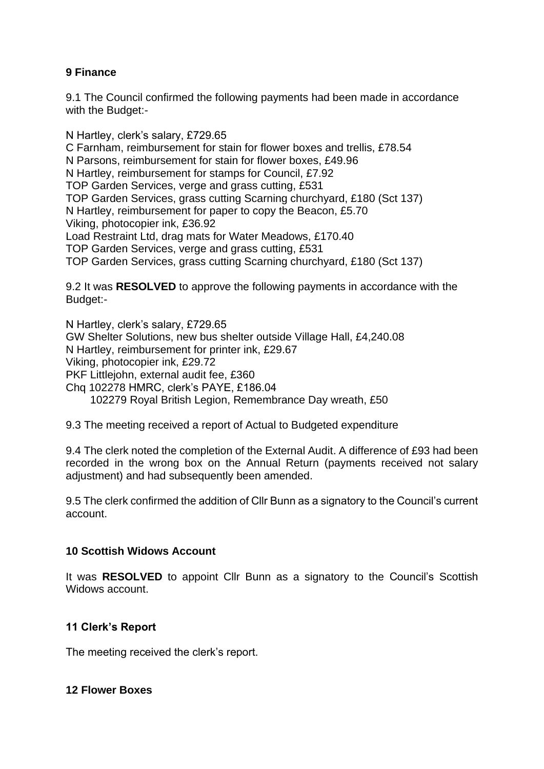# **9 Finance**

9.1 The Council confirmed the following payments had been made in accordance with the Budget:-

N Hartley, clerk's salary, £729.65 C Farnham, reimbursement for stain for flower boxes and trellis, £78.54 N Parsons, reimbursement for stain for flower boxes, £49.96 N Hartley, reimbursement for stamps for Council, £7.92 TOP Garden Services, verge and grass cutting, £531 TOP Garden Services, grass cutting Scarning churchyard, £180 (Sct 137) N Hartley, reimbursement for paper to copy the Beacon, £5.70 Viking, photocopier ink, £36.92 Load Restraint Ltd, drag mats for Water Meadows, £170.40 TOP Garden Services, verge and grass cutting, £531 TOP Garden Services, grass cutting Scarning churchyard, £180 (Sct 137)

9.2 It was **RESOLVED** to approve the following payments in accordance with the Budget:-

N Hartley, clerk's salary, £729.65 GW Shelter Solutions, new bus shelter outside Village Hall, £4,240.08 N Hartley, reimbursement for printer ink, £29.67 Viking, photocopier ink, £29.72 PKF Littlejohn, external audit fee, £360 Chq 102278 HMRC, clerk's PAYE, £186.04 102279 Royal British Legion, Remembrance Day wreath, £50

9.3 The meeting received a report of Actual to Budgeted expenditure

9.4 The clerk noted the completion of the External Audit. A difference of £93 had been recorded in the wrong box on the Annual Return (payments received not salary adjustment) and had subsequently been amended.

9.5 The clerk confirmed the addition of Cllr Bunn as a signatory to the Council's current account.

### **10 Scottish Widows Account**

It was **RESOLVED** to appoint Cllr Bunn as a signatory to the Council's Scottish Widows account.

### **11 Clerk's Report**

The meeting received the clerk's report.

### **12 Flower Boxes**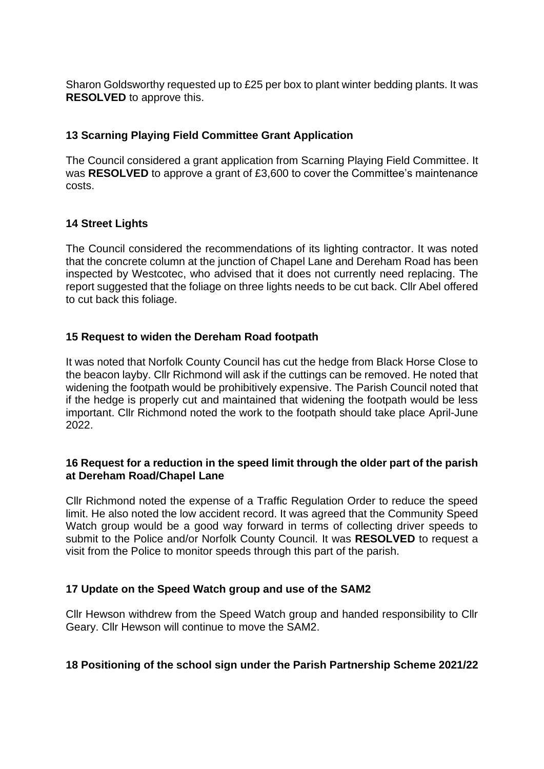Sharon Goldsworthy requested up to £25 per box to plant winter bedding plants. It was **RESOLVED** to approve this.

# **13 Scarning Playing Field Committee Grant Application**

The Council considered a grant application from Scarning Playing Field Committee. It was **RESOLVED** to approve a grant of £3,600 to cover the Committee's maintenance costs.

## **14 Street Lights**

The Council considered the recommendations of its lighting contractor. It was noted that the concrete column at the junction of Chapel Lane and Dereham Road has been inspected by Westcotec, who advised that it does not currently need replacing. The report suggested that the foliage on three lights needs to be cut back. Cllr Abel offered to cut back this foliage.

## **15 Request to widen the Dereham Road footpath**

It was noted that Norfolk County Council has cut the hedge from Black Horse Close to the beacon layby. Cllr Richmond will ask if the cuttings can be removed. He noted that widening the footpath would be prohibitively expensive. The Parish Council noted that if the hedge is properly cut and maintained that widening the footpath would be less important. Cllr Richmond noted the work to the footpath should take place April-June 2022.

#### **16 Request for a reduction in the speed limit through the older part of the parish at Dereham Road/Chapel Lane**

Cllr Richmond noted the expense of a Traffic Regulation Order to reduce the speed limit. He also noted the low accident record. It was agreed that the Community Speed Watch group would be a good way forward in terms of collecting driver speeds to submit to the Police and/or Norfolk County Council. It was **RESOLVED** to request a visit from the Police to monitor speeds through this part of the parish.

### **17 Update on the Speed Watch group and use of the SAM2**

Cllr Hewson withdrew from the Speed Watch group and handed responsibility to Cllr Geary. Cllr Hewson will continue to move the SAM2.

### **18 Positioning of the school sign under the Parish Partnership Scheme 2021/22**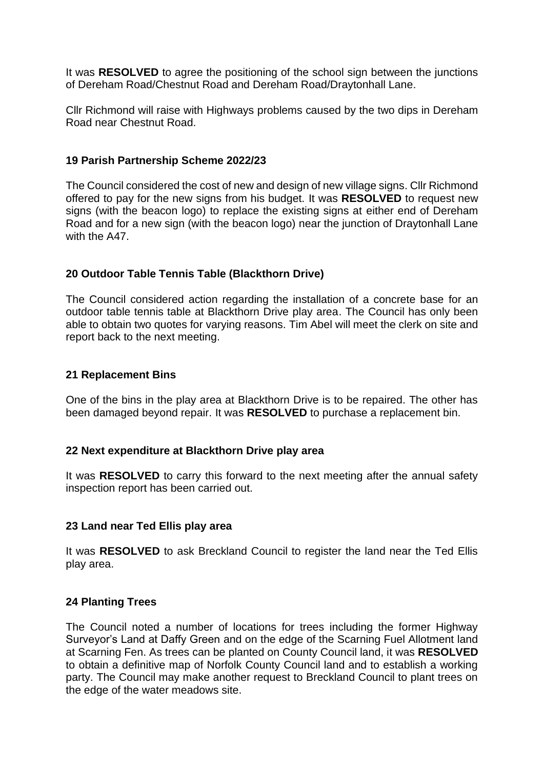It was **RESOLVED** to agree the positioning of the school sign between the junctions of Dereham Road/Chestnut Road and Dereham Road/Draytonhall Lane.

Cllr Richmond will raise with Highways problems caused by the two dips in Dereham Road near Chestnut Road.

### **19 Parish Partnership Scheme 2022/23**

The Council considered the cost of new and design of new village signs. Cllr Richmond offered to pay for the new signs from his budget. It was **RESOLVED** to request new signs (with the beacon logo) to replace the existing signs at either end of Dereham Road and for a new sign (with the beacon logo) near the junction of Draytonhall Lane with the A47.

## **20 Outdoor Table Tennis Table (Blackthorn Drive)**

The Council considered action regarding the installation of a concrete base for an outdoor table tennis table at Blackthorn Drive play area. The Council has only been able to obtain two quotes for varying reasons. Tim Abel will meet the clerk on site and report back to the next meeting.

### **21 Replacement Bins**

One of the bins in the play area at Blackthorn Drive is to be repaired. The other has been damaged beyond repair. It was **RESOLVED** to purchase a replacement bin.

### **22 Next expenditure at Blackthorn Drive play area**

It was **RESOLVED** to carry this forward to the next meeting after the annual safety inspection report has been carried out.

### **23 Land near Ted Ellis play area**

It was **RESOLVED** to ask Breckland Council to register the land near the Ted Ellis play area.

### **24 Planting Trees**

The Council noted a number of locations for trees including the former Highway Surveyor's Land at Daffy Green and on the edge of the Scarning Fuel Allotment land at Scarning Fen. As trees can be planted on County Council land, it was **RESOLVED** to obtain a definitive map of Norfolk County Council land and to establish a working party. The Council may make another request to Breckland Council to plant trees on the edge of the water meadows site.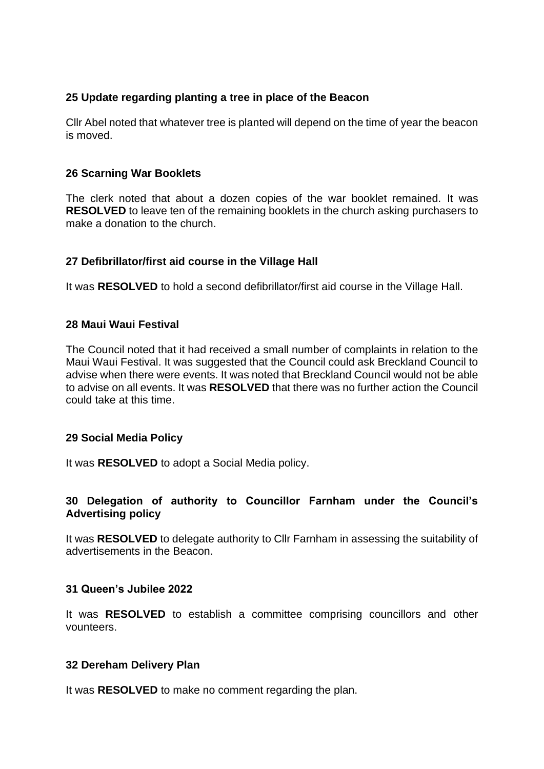### **25 Update regarding planting a tree in place of the Beacon**

Cllr Abel noted that whatever tree is planted will depend on the time of year the beacon is moved.

## **26 Scarning War Booklets**

The clerk noted that about a dozen copies of the war booklet remained. It was **RESOLVED** to leave ten of the remaining booklets in the church asking purchasers to make a donation to the church.

## **27 Defibrillator/first aid course in the Village Hall**

It was **RESOLVED** to hold a second defibrillator/first aid course in the Village Hall.

## **28 Maui Waui Festival**

The Council noted that it had received a small number of complaints in relation to the Maui Waui Festival. It was suggested that the Council could ask Breckland Council to advise when there were events. It was noted that Breckland Council would not be able to advise on all events. It was **RESOLVED** that there was no further action the Council could take at this time.

### **29 Social Media Policy**

It was **RESOLVED** to adopt a Social Media policy.

## **30 Delegation of authority to Councillor Farnham under the Council's Advertising policy**

It was **RESOLVED** to delegate authority to Cllr Farnham in assessing the suitability of advertisements in the Beacon.

### **31 Queen's Jubilee 2022**

It was **RESOLVED** to establish a committee comprising councillors and other vounteers.

### **32 Dereham Delivery Plan**

It was **RESOLVED** to make no comment regarding the plan.